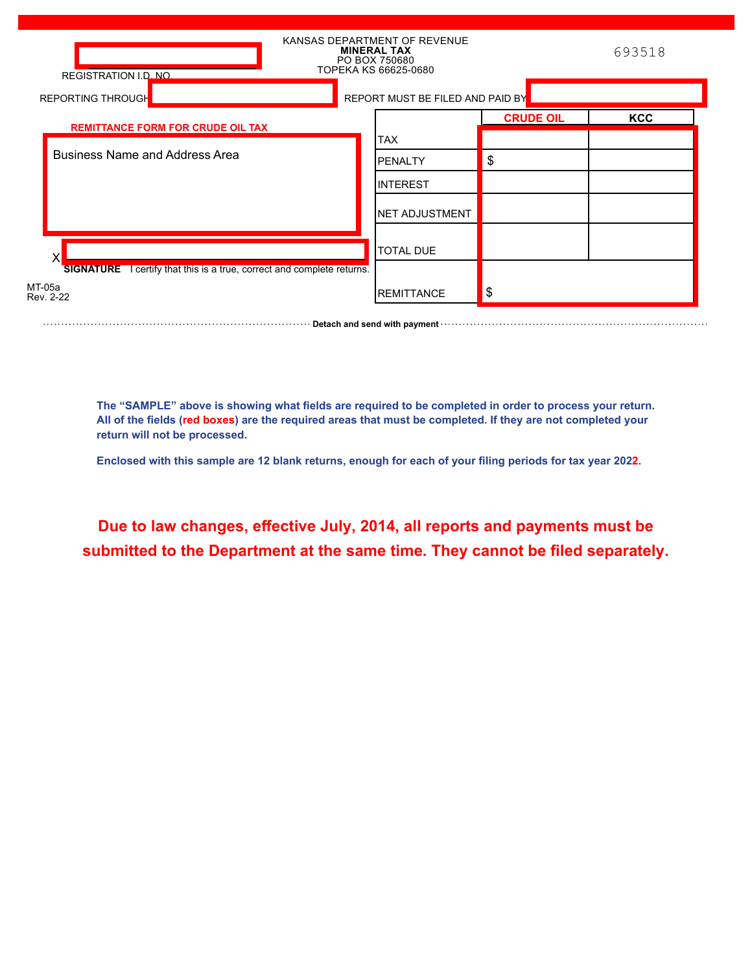| <b>REGISTRATION I.D. NO.</b>                                           | KANSAS DEPARTMENT OF REVENUE<br><b>MINERAL TAX</b><br>PO BOX 750680<br>TOPEKA KS 66625-0680 |                  | 693518     |
|------------------------------------------------------------------------|---------------------------------------------------------------------------------------------|------------------|------------|
| <b>REPORTING THROUGH</b>                                               | REPORT MUST BE FILED AND PAID BY                                                            |                  |            |
| <b>REMITTANCE FORM FOR CRUDE OIL TAX</b>                               |                                                                                             | <b>CRUDE OIL</b> | <b>KCC</b> |
|                                                                        | <b>TAX</b>                                                                                  |                  |            |
| Business Name and Address Area                                         | <b>IPENALTY</b>                                                                             | \$               |            |
|                                                                        | IINTEREST                                                                                   |                  |            |
|                                                                        | <b>INET ADJUSTMENT</b>                                                                      |                  |            |
|                                                                        | <b>TOTAL DUE</b>                                                                            |                  |            |
| SIGNATURE I certify that this is a true, correct and complete returns. |                                                                                             |                  |            |
| MT-05a<br>Rev. 2-22                                                    | <b>REMITTANCE</b>                                                                           | \$               |            |

**The "SAMPLE" above is showing what fields are required to be completed in order to process your return. All of the fields (red boxes) are the required areas that must be completed. If they are not completed your return will not be processed.**

**Example 20 Increase and send with payment** with construction and construction of the Detach and send with payment with construction of the Detach and Send with payment with construction of the Detach and Send With Constru

**Enclosed with this sample are 12 blank returns, enough for each of your filing periods for tax year 2022.**

**Due to law changes, effective July, 2014, all reports and payments must be submitted to the Department at the same time. They cannot be filed separately.**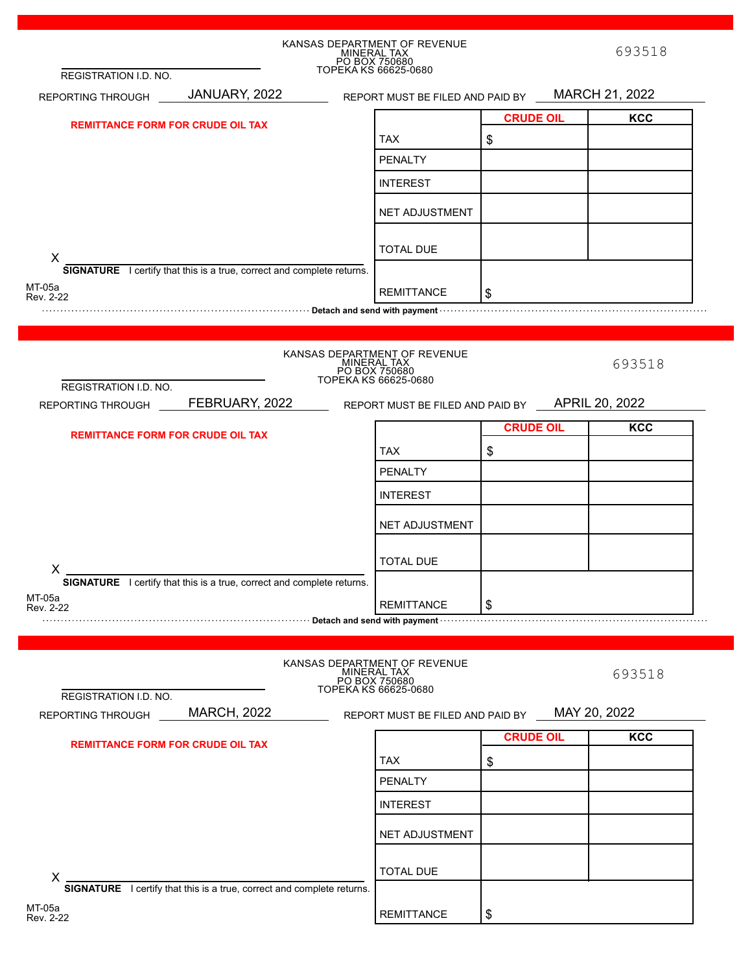|                                          |                                                                               | KANSAS DEPARTMENT OF REVENUE<br>MINERAL TAX<br>PO BOX 750680<br>TOPEKA KS 66625-0680 |                  | 693518         |
|------------------------------------------|-------------------------------------------------------------------------------|--------------------------------------------------------------------------------------|------------------|----------------|
| REGISTRATION I.D. NO.                    |                                                                               |                                                                                      |                  |                |
| REPORTING THROUGH                        | JANUARY, 2022                                                                 | REPORT MUST BE FILED AND PAID BY MARCH 21, 2022                                      |                  |                |
| <b>REMITTANCE FORM FOR CRUDE OIL TAX</b> |                                                                               |                                                                                      | <b>CRUDE OIL</b> | <b>KCC</b>     |
|                                          |                                                                               | <b>TAX</b>                                                                           | \$               |                |
|                                          |                                                                               | <b>PENALTY</b>                                                                       |                  |                |
|                                          |                                                                               | <b>INTEREST</b>                                                                      |                  |                |
|                                          |                                                                               | <b>NET ADJUSTMENT</b>                                                                |                  |                |
| X                                        |                                                                               | <b>TOTAL DUE</b>                                                                     |                  |                |
|                                          | SIGNATURE I certify that this is a true, correct and complete returns.        |                                                                                      |                  |                |
| MT-05a<br>Rev. 2-22                      |                                                                               | <b>REMITTANCE</b>                                                                    | \$               |                |
|                                          |                                                                               |                                                                                      |                  |                |
|                                          |                                                                               |                                                                                      |                  |                |
| REGISTRATION I.D. NO.                    |                                                                               | KANSAS DEPARTMENT OF REVENUE<br>MINERAL TAX<br>PO BOX 750680<br>TOPEKA KS 66625-0680 |                  | 693518         |
| REPORTING THROUGH                        | FEBRUARY, 2022                                                                | REPORT MUST BE FILED AND PAID BY                                                     |                  | APRIL 20, 2022 |
|                                          |                                                                               |                                                                                      | <b>CRUDE OIL</b> | <b>KCC</b>     |
| <b>REMITTANCE FORM FOR CRUDE OIL TAX</b> |                                                                               |                                                                                      |                  |                |
|                                          |                                                                               | <b>TAX</b>                                                                           | \$               |                |
|                                          |                                                                               | <b>PENALTY</b>                                                                       |                  |                |
|                                          |                                                                               | <b>INTEREST</b>                                                                      |                  |                |
|                                          |                                                                               | <b>NET ADJUSTMENT</b>                                                                |                  |                |
|                                          |                                                                               | <b>TOTAL DUE</b>                                                                     |                  |                |
| X                                        | <b>SIGNATURE</b> I certify that this is a true, correct and complete returns. |                                                                                      |                  |                |
| MT-05a                                   |                                                                               | <b>REMITTANCE</b>                                                                    | \$               |                |
| Rev. 2-22                                |                                                                               |                                                                                      |                  |                |
|                                          |                                                                               |                                                                                      |                  |                |
| REGISTRATION I.D. NO.                    |                                                                               | KANSAS DEPARTMENT OF REVENUE<br>MINERAL TAX<br>PO BOX 750680<br>TOPEKA KS 66625-0680 |                  | 693518         |
| REPORTING THROUGH                        | <b>MARCH, 2022</b>                                                            | REPORT MUST BE FILED AND PAID BY                                                     |                  | MAY 20, 2022   |
|                                          |                                                                               |                                                                                      | <b>CRUDE OIL</b> | <b>KCC</b>     |
| <b>REMITTANCE FORM FOR CRUDE OIL TAX</b> |                                                                               |                                                                                      |                  |                |
|                                          | <b>TAX</b>                                                                    | \$                                                                                   |                  |                |
|                                          |                                                                               | PENALTY                                                                              |                  |                |
|                                          |                                                                               | <b>INTEREST</b>                                                                      |                  |                |
|                                          |                                                                               | NET ADJUSTMENT                                                                       |                  |                |
| X                                        |                                                                               | <b>TOTAL DUE</b>                                                                     |                  |                |
|                                          | SIGNATURE I certify that this is a true, correct and complete returns.        |                                                                                      |                  |                |
| MT-05a<br>Rev. 2-22                      |                                                                               | <b>REMITTANCE</b>                                                                    | \$               |                |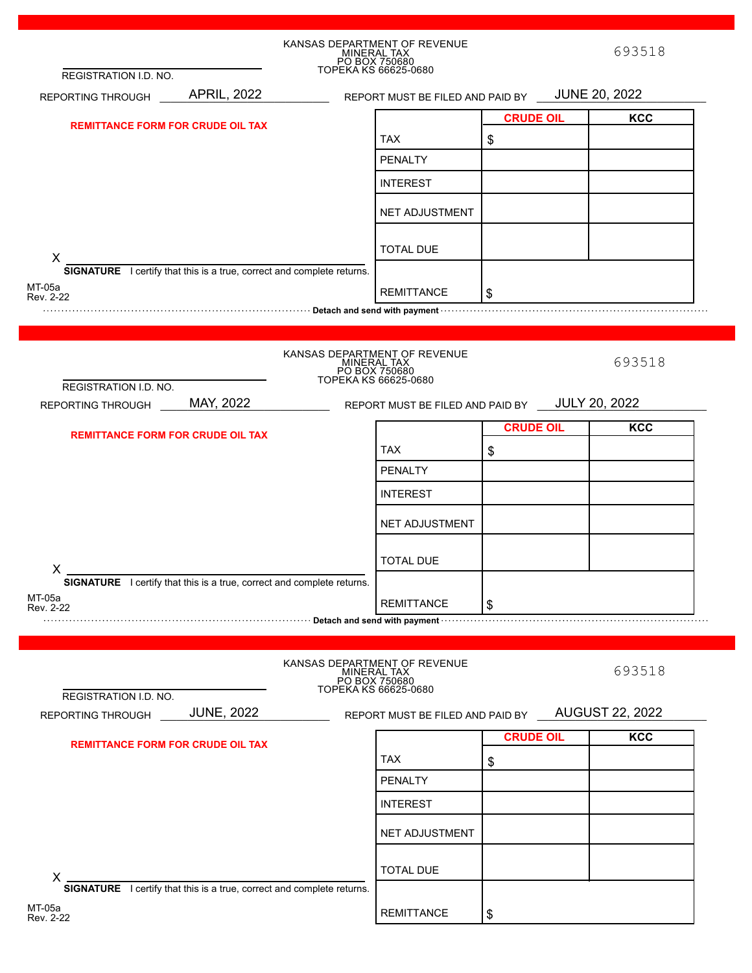|                                                                                         |                    | KANSAS DEPARTMENT OF REVENUE<br>MINERAL TAX<br>PO BOX 750680<br>TOPEKA KS 66625-0680                                                                                                                                           |                  | 693518                 |
|-----------------------------------------------------------------------------------------|--------------------|--------------------------------------------------------------------------------------------------------------------------------------------------------------------------------------------------------------------------------|------------------|------------------------|
| REGISTRATION I.D. NO.<br>REPORTING THROUGH                                              | <b>APRIL, 2022</b> | REPORT MUST BE FILED AND PAID BY JUNE 20, 2022                                                                                                                                                                                 |                  |                        |
|                                                                                         |                    |                                                                                                                                                                                                                                | <b>CRUDE OIL</b> | <b>KCC</b>             |
| <b>REMITTANCE FORM FOR CRUDE OIL TAX</b>                                                |                    | <b>TAX</b>                                                                                                                                                                                                                     | \$               |                        |
|                                                                                         |                    | <b>PENALTY</b>                                                                                                                                                                                                                 |                  |                        |
|                                                                                         |                    | <b>INTEREST</b>                                                                                                                                                                                                                |                  |                        |
|                                                                                         |                    |                                                                                                                                                                                                                                |                  |                        |
|                                                                                         |                    | <b>NET ADJUSTMENT</b>                                                                                                                                                                                                          |                  |                        |
|                                                                                         |                    | <b>TOTAL DUE</b>                                                                                                                                                                                                               |                  |                        |
| X<br><b>SIGNATURE</b> I certify that this is a true, correct and complete returns.      |                    |                                                                                                                                                                                                                                |                  |                        |
| MT-05a<br>Rev. 2-22                                                                     |                    | <b>REMITTANCE</b>                                                                                                                                                                                                              | \$               |                        |
|                                                                                         |                    | www.communications.communications.communications.communications.communications.com                                                                                                                                             |                  |                        |
|                                                                                         |                    |                                                                                                                                                                                                                                |                  |                        |
| REGISTRATION I.D. NO.                                                                   |                    | KANSAS DEPARTMENT OF REVENUE<br>MINERAL TAX<br>PO BOX 750680<br>TOPEKA KS 66625-0680                                                                                                                                           |                  | 693518                 |
| REPORTING THROUGH                                                                       | MAY, 2022          | REPORT MUST BE FILED AND PAID BY JULY 20, 2022                                                                                                                                                                                 |                  |                        |
|                                                                                         |                    |                                                                                                                                                                                                                                | <b>CRUDE OIL</b> | <b>KCC</b>             |
| <b>REMITTANCE FORM FOR CRUDE OIL TAX</b>                                                |                    | <b>TAX</b>                                                                                                                                                                                                                     | \$               |                        |
|                                                                                         |                    | <b>PENALTY</b>                                                                                                                                                                                                                 |                  |                        |
|                                                                                         |                    | <b>INTEREST</b>                                                                                                                                                                                                                |                  |                        |
|                                                                                         |                    |                                                                                                                                                                                                                                |                  |                        |
|                                                                                         |                    | NET ADJUSTMENT                                                                                                                                                                                                                 |                  |                        |
|                                                                                         |                    |                                                                                                                                                                                                                                |                  |                        |
| X                                                                                       |                    | <b>TOTAL DUE</b>                                                                                                                                                                                                               |                  |                        |
| <b>SIGNATURE</b> I certify that this is a true, correct and complete returns.           |                    |                                                                                                                                                                                                                                |                  |                        |
| MT-05a<br>Rev. 2-22                                                                     |                    | <b>REMITTANCE</b>                                                                                                                                                                                                              | \$               |                        |
|                                                                                         |                    | manufacturer and send with payment with the control of the control of the control of the control of the control of the control of the control of the control of the control of the control of the control of the control of th |                  |                        |
|                                                                                         |                    |                                                                                                                                                                                                                                |                  |                        |
|                                                                                         |                    | KANSAS DEPARTMENT OF REVENUE<br>MINERAL TAX<br>PO BOX 750680<br>TOPEKA KS 66625-0680                                                                                                                                           |                  | 693518                 |
| REGISTRATION I.D. NO.                                                                   |                    |                                                                                                                                                                                                                                |                  |                        |
| REPORTING THROUGH                                                                       | <b>JUNE, 2022</b>  | REPORT MUST BE FILED AND PAID BY                                                                                                                                                                                               |                  | <b>AUGUST 22, 2022</b> |
| <b>REMITTANCE FORM FOR CRUDE OIL TAX</b>                                                |                    |                                                                                                                                                                                                                                | <b>CRUDE OIL</b> | <b>KCC</b>             |
|                                                                                         |                    | <b>TAX</b>                                                                                                                                                                                                                     | \$               |                        |
|                                                                                         |                    | <b>PENALTY</b>                                                                                                                                                                                                                 |                  |                        |
|                                                                                         |                    | <b>INTEREST</b>                                                                                                                                                                                                                |                  |                        |
|                                                                                         |                    | NET ADJUSTMENT                                                                                                                                                                                                                 |                  |                        |
| $X$ .                                                                                   |                    | <b>TOTAL DUE</b>                                                                                                                                                                                                               |                  |                        |
| <b>SIGNATURE</b> I certify that this is a true, correct and complete returns.<br>MT-05a |                    |                                                                                                                                                                                                                                |                  |                        |
| Rev. 2-22                                                                               |                    | <b>REMITTANCE</b>                                                                                                                                                                                                              | \$               |                        |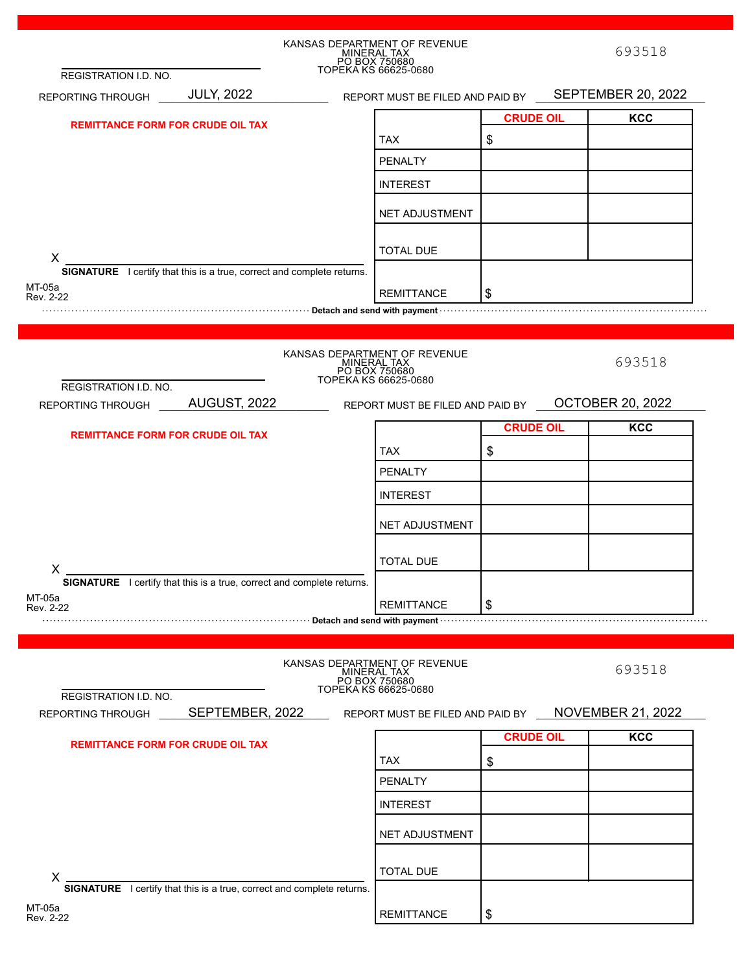|                                                                                                                                                                                                                                | KANSAS DEPARTMENT OF REVENUE<br>MINERAL TAX<br>PO BOX 750680<br>TOPEKA KS 66625-0680 |                                           | 693518                   |
|--------------------------------------------------------------------------------------------------------------------------------------------------------------------------------------------------------------------------------|--------------------------------------------------------------------------------------|-------------------------------------------|--------------------------|
| REGISTRATION I.D. NO.                                                                                                                                                                                                          |                                                                                      |                                           |                          |
| REPORTING THROUGH JULY, 2022                                                                                                                                                                                                   | REPORT MUST BE FILED AND PAID BY SEPTEMBER 20, 2022                                  |                                           |                          |
| <b>REMITTANCE FORM FOR CRUDE OIL TAX</b>                                                                                                                                                                                       |                                                                                      | <b>CRUDE OIL</b>                          | <b>KCC</b>               |
|                                                                                                                                                                                                                                | <b>TAX</b>                                                                           | $\, \, \raisebox{12pt}{$\scriptstyle \$}$ |                          |
|                                                                                                                                                                                                                                | <b>PENALTY</b>                                                                       |                                           |                          |
|                                                                                                                                                                                                                                | <b>INTEREST</b>                                                                      |                                           |                          |
|                                                                                                                                                                                                                                | <b>NET ADJUSTMENT</b>                                                                |                                           |                          |
| X                                                                                                                                                                                                                              | <b>TOTAL DUE</b>                                                                     |                                           |                          |
| <b>SIGNATURE</b> I certify that this is a true, correct and complete returns.                                                                                                                                                  |                                                                                      |                                           |                          |
| MT-05a<br>Rev. 2-22                                                                                                                                                                                                            | <b>REMITTANCE</b>                                                                    | \$                                        |                          |
| net allows the parameters and send with payment with contained and send with a send with payment with the send with payment with the send with payment with the sense of the sense of the sense of the sense of the sense of t |                                                                                      |                                           |                          |
|                                                                                                                                                                                                                                |                                                                                      |                                           |                          |
|                                                                                                                                                                                                                                | KANSAS DEPARTMENT OF REVENUE                                                         |                                           |                          |
|                                                                                                                                                                                                                                | MINERAL TAX<br>PO BOX 750680<br>TOPEKA KS 66625-0680                                 |                                           | 693518                   |
| REGISTRATION I.D. NO.                                                                                                                                                                                                          |                                                                                      |                                           |                          |
| REPORTING THROUGH AUGUST, 2022 REPORT MUST BE FILED AND PAID BY OCTOBER 20, 2022                                                                                                                                               |                                                                                      |                                           |                          |
| <b>REMITTANCE FORM FOR CRUDE OIL TAX</b>                                                                                                                                                                                       |                                                                                      | <b>CRUDE OIL</b>                          | <b>KCC</b>               |
|                                                                                                                                                                                                                                | <b>TAX</b>                                                                           | \$                                        |                          |
|                                                                                                                                                                                                                                | <b>PENALTY</b>                                                                       |                                           |                          |
|                                                                                                                                                                                                                                |                                                                                      |                                           |                          |
|                                                                                                                                                                                                                                | <b>INTEREST</b>                                                                      |                                           |                          |
|                                                                                                                                                                                                                                | NET ADJUSTMENT                                                                       |                                           |                          |
|                                                                                                                                                                                                                                |                                                                                      |                                           |                          |
|                                                                                                                                                                                                                                | <b>TOTAL DUE</b>                                                                     |                                           |                          |
| X<br><b>SIGNATURE</b> I certify that this is a true, correct and complete returns.                                                                                                                                             |                                                                                      |                                           |                          |
| MT-05a                                                                                                                                                                                                                         | <b>REMITTANCE</b>                                                                    | \$                                        |                          |
| Rev. 2-22<br>.                                                                                                                                                                                                                 |                                                                                      |                                           |                          |
|                                                                                                                                                                                                                                |                                                                                      |                                           |                          |
| REGISTRATION I.D. NO.                                                                                                                                                                                                          | KANSAS DEPARTMENT OF REVENUE<br>MINERAL TAX<br>PO BOX 750680<br>TOPEKA KS 66625-0680 |                                           | 693518                   |
| SEPTEMBER, 2022<br>REPORTING THROUGH                                                                                                                                                                                           | REPORT MUST BE FILED AND PAID BY                                                     |                                           | <b>NOVEMBER 21, 2022</b> |
|                                                                                                                                                                                                                                |                                                                                      |                                           |                          |
| <b>REMITTANCE FORM FOR CRUDE OIL TAX</b>                                                                                                                                                                                       |                                                                                      | <b>CRUDE OIL</b>                          | <b>KCC</b>               |
|                                                                                                                                                                                                                                | <b>TAX</b>                                                                           | \$                                        |                          |
|                                                                                                                                                                                                                                | <b>PENALTY</b>                                                                       |                                           |                          |
|                                                                                                                                                                                                                                | <b>INTEREST</b>                                                                      |                                           |                          |
|                                                                                                                                                                                                                                | <b>NET ADJUSTMENT</b>                                                                |                                           |                          |
|                                                                                                                                                                                                                                |                                                                                      |                                           |                          |
| X                                                                                                                                                                                                                              | <b>TOTAL DUE</b>                                                                     |                                           |                          |
| SIGNATURE I certify that this is a true, correct and complete returns.                                                                                                                                                         |                                                                                      |                                           |                          |
| MT-05a<br>Rev. 2-22                                                                                                                                                                                                            | <b>REMITTANCE</b>                                                                    | \$                                        |                          |